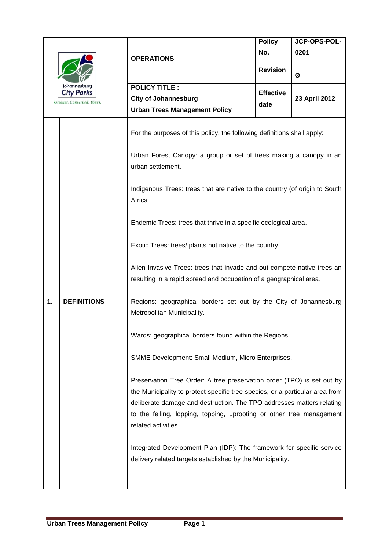| Johannesburg<br><b>City Parks</b><br>Greener. Conserved. Yours. |                    | <b>OPERATIONS</b>                                                                                                                                                                                                                                                                                                                                                                                                                                                                                                                                                                                                                                                                                     | <b>Policy</b>    | JCP-OPS-POL-  |
|-----------------------------------------------------------------|--------------------|-------------------------------------------------------------------------------------------------------------------------------------------------------------------------------------------------------------------------------------------------------------------------------------------------------------------------------------------------------------------------------------------------------------------------------------------------------------------------------------------------------------------------------------------------------------------------------------------------------------------------------------------------------------------------------------------------------|------------------|---------------|
|                                                                 |                    |                                                                                                                                                                                                                                                                                                                                                                                                                                                                                                                                                                                                                                                                                                       | No.              | 0201          |
|                                                                 |                    |                                                                                                                                                                                                                                                                                                                                                                                                                                                                                                                                                                                                                                                                                                       | <b>Revision</b>  | Ø             |
|                                                                 |                    | <b>POLICY TITLE:</b>                                                                                                                                                                                                                                                                                                                                                                                                                                                                                                                                                                                                                                                                                  |                  |               |
|                                                                 |                    | <b>City of Johannesburg</b>                                                                                                                                                                                                                                                                                                                                                                                                                                                                                                                                                                                                                                                                           | <b>Effective</b> | 23 April 2012 |
|                                                                 |                    | <b>Urban Trees Management Policy</b>                                                                                                                                                                                                                                                                                                                                                                                                                                                                                                                                                                                                                                                                  | date             |               |
| 1.                                                              | <b>DEFINITIONS</b> | For the purposes of this policy, the following definitions shall apply:<br>Urban Forest Canopy: a group or set of trees making a canopy in an<br>urban settlement.<br>Indigenous Trees: trees that are native to the country (of origin to South<br>Africa.<br>Endemic Trees: trees that thrive in a specific ecological area.<br>Exotic Trees: trees/ plants not native to the country.<br>Alien Invasive Trees: trees that invade and out compete native trees an<br>resulting in a rapid spread and occupation of a geographical area.<br>Regions: geographical borders set out by the City of Johannesburg<br>Metropolitan Municipality.<br>Wards: geographical borders found within the Regions. |                  |               |
|                                                                 |                    | SMME Development: Small Medium, Micro Enterprises.<br>Preservation Tree Order: A tree preservation order (TPO) is set out by<br>the Municipality to protect specific tree species, or a particular area from<br>deliberate damage and destruction. The TPO addresses matters relating<br>to the felling, lopping, topping, uprooting or other tree management<br>related activities.<br>Integrated Development Plan (IDP): The framework for specific service                                                                                                                                                                                                                                         |                  |               |
|                                                                 |                    | delivery related targets established by the Municipality.                                                                                                                                                                                                                                                                                                                                                                                                                                                                                                                                                                                                                                             |                  |               |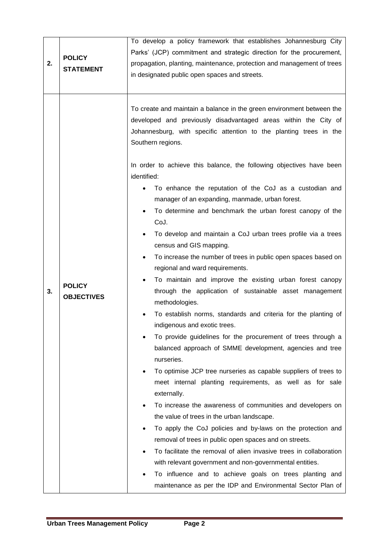| 2. | <b>POLICY</b><br><b>STATEMENT</b>  | To develop a policy framework that establishes Johannesburg City<br>Parks' (JCP) commitment and strategic direction for the procurement,<br>propagation, planting, maintenance, protection and management of trees<br>in designated public open spaces and streets.                                                                                                                                                                                                                                                                                                                                                                                                                                                                                                                                                                                                                                                                                                                                                                                                                                                                                                                                                                                                                                                                                                                                                                                                                                                                                                                                                                                                                                                                                 |  |  |
|----|------------------------------------|-----------------------------------------------------------------------------------------------------------------------------------------------------------------------------------------------------------------------------------------------------------------------------------------------------------------------------------------------------------------------------------------------------------------------------------------------------------------------------------------------------------------------------------------------------------------------------------------------------------------------------------------------------------------------------------------------------------------------------------------------------------------------------------------------------------------------------------------------------------------------------------------------------------------------------------------------------------------------------------------------------------------------------------------------------------------------------------------------------------------------------------------------------------------------------------------------------------------------------------------------------------------------------------------------------------------------------------------------------------------------------------------------------------------------------------------------------------------------------------------------------------------------------------------------------------------------------------------------------------------------------------------------------------------------------------------------------------------------------------------------------|--|--|
| 3. | <b>POLICY</b><br><b>OBJECTIVES</b> | To create and maintain a balance in the green environment between the<br>developed and previously disadvantaged areas within the City of<br>Johannesburg, with specific attention to the planting trees in the<br>Southern regions.<br>In order to achieve this balance, the following objectives have been<br>identified:<br>To enhance the reputation of the CoJ as a custodian and<br>manager of an expanding, manmade, urban forest.<br>To determine and benchmark the urban forest canopy of the<br>$\bullet$<br>CoJ.<br>To develop and maintain a CoJ urban trees profile via a trees<br>$\bullet$<br>census and GIS mapping.<br>To increase the number of trees in public open spaces based on<br>$\bullet$<br>regional and ward requirements.<br>To maintain and improve the existing urban forest canopy<br>through the application of sustainable asset management<br>methodologies.<br>To establish norms, standards and criteria for the planting of<br>indigenous and exotic trees.<br>To provide guidelines for the procurement of trees through a<br>balanced approach of SMME development, agencies and tree<br>nurseries.<br>To optimise JCP tree nurseries as capable suppliers of trees to<br>$\bullet$<br>meet internal planting requirements, as well as for sale<br>externally.<br>To increase the awareness of communities and developers on<br>$\bullet$<br>the value of trees in the urban landscape.<br>To apply the CoJ policies and by-laws on the protection and<br>removal of trees in public open spaces and on streets.<br>To facilitate the removal of alien invasive trees in collaboration<br>with relevant government and non-governmental entities.<br>To influence and to achieve goals on trees planting and |  |  |
|    |                                    | maintenance as per the IDP and Environmental Sector Plan of                                                                                                                                                                                                                                                                                                                                                                                                                                                                                                                                                                                                                                                                                                                                                                                                                                                                                                                                                                                                                                                                                                                                                                                                                                                                                                                                                                                                                                                                                                                                                                                                                                                                                         |  |  |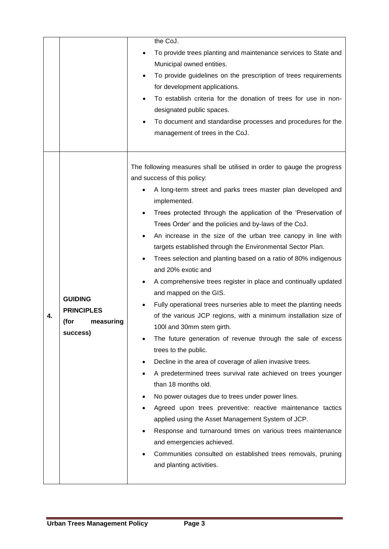|    |                                                                      | the CoJ.<br>To provide trees planting and maintenance services to State and<br>Municipal owned entities.<br>To provide guidelines on the prescription of trees requirements<br>for development applications.<br>To establish criteria for the donation of trees for use in non-<br>designated public spaces.<br>To document and standardise processes and procedures for the<br>management of trees in the CoJ.                                                                                                                                                                                                                                                                                                                                                                                                                                                                                                                                                                                                                                                                                                                                                                                                                                                                                                                                                                                                       |
|----|----------------------------------------------------------------------|-----------------------------------------------------------------------------------------------------------------------------------------------------------------------------------------------------------------------------------------------------------------------------------------------------------------------------------------------------------------------------------------------------------------------------------------------------------------------------------------------------------------------------------------------------------------------------------------------------------------------------------------------------------------------------------------------------------------------------------------------------------------------------------------------------------------------------------------------------------------------------------------------------------------------------------------------------------------------------------------------------------------------------------------------------------------------------------------------------------------------------------------------------------------------------------------------------------------------------------------------------------------------------------------------------------------------------------------------------------------------------------------------------------------------|
| 4. | <b>GUIDING</b><br><b>PRINCIPLES</b><br>(for<br>measuring<br>success) | The following measures shall be utilised in order to gauge the progress<br>and success of this policy:<br>A long-term street and parks trees master plan developed and<br>implemented.<br>Trees protected through the application of the 'Preservation of<br>Trees Order' and the policies and by-laws of the CoJ.<br>An increase in the size of the urban tree canopy in line with<br>targets established through the Environmental Sector Plan.<br>Trees selection and planting based on a ratio of 80% indigenous<br>and 20% exotic and<br>A comprehensive trees register in place and continually updated<br>and mapped on the GIS.<br>Fully operational trees nurseries able to meet the planting needs<br>of the various JCP regions, with a minimum installation size of<br>100I and 30mm stem girth.<br>The future generation of revenue through the sale of excess<br>trees to the public.<br>Decline in the area of coverage of alien invasive trees.<br>A predetermined trees survival rate achieved on trees younger<br>than 18 months old.<br>No power outages due to trees under power lines.<br>Agreed upon trees preventive: reactive maintenance tactics<br>applied using the Asset Management System of JCP.<br>Response and turnaround times on various trees maintenance<br>and emergencies achieved.<br>Communities consulted on established trees removals, pruning<br>and planting activities. |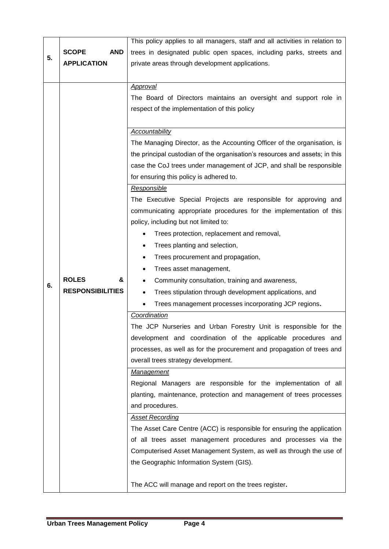|    |                            | This policy applies to all managers, staff and all activities in relation to |  |
|----|----------------------------|------------------------------------------------------------------------------|--|
| 5. | <b>SCOPE</b><br><b>AND</b> | trees in designated public open spaces, including parks, streets and         |  |
|    | <b>APPLICATION</b>         | private areas through development applications.                              |  |
|    |                            |                                                                              |  |
|    |                            | <b>Approval</b>                                                              |  |
|    |                            | The Board of Directors maintains an oversight and support role in            |  |
|    |                            | respect of the implementation of this policy                                 |  |
|    |                            |                                                                              |  |
|    |                            | Accountability                                                               |  |
|    |                            | The Managing Director, as the Accounting Officer of the organisation, is     |  |
|    |                            | the principal custodian of the organisation's resources and assets; in this  |  |
|    |                            | case the CoJ trees under management of JCP, and shall be responsible         |  |
|    |                            | for ensuring this policy is adhered to.                                      |  |
|    |                            | Responsible                                                                  |  |
|    |                            | The Executive Special Projects are responsible for approving and             |  |
|    |                            | communicating appropriate procedures for the implementation of this          |  |
|    |                            | policy, including but not limited to:                                        |  |
|    |                            | Trees protection, replacement and removal,                                   |  |
|    |                            | Trees planting and selection,                                                |  |
|    |                            | Trees procurement and propagation,<br>٠                                      |  |
|    |                            | Trees asset management,                                                      |  |
|    | <b>ROLES</b><br>&          | Community consultation, training and awareness,<br>$\bullet$                 |  |
| 6. | <b>RESPONSIBILITIES</b>    | Trees stipulation through development applications, and                      |  |
|    |                            | Trees management processes incorporating JCP regions.                        |  |
|    |                            | Coordination                                                                 |  |
|    |                            | The JCP Nurseries and Urban Forestry Unit is responsible for the             |  |
|    |                            | development and coordination of the applicable procedures and                |  |
|    |                            | processes, as well as for the procurement and propagation of trees and       |  |
|    |                            | overall trees strategy development.                                          |  |
|    |                            | Management                                                                   |  |
|    |                            | Regional Managers are responsible for the implementation of all              |  |
|    |                            | planting, maintenance, protection and management of trees processes          |  |
|    |                            | and procedures.                                                              |  |
|    |                            | <b>Asset Recording</b>                                                       |  |
|    |                            | The Asset Care Centre (ACC) is responsible for ensuring the application      |  |
|    |                            | of all trees asset management procedures and processes via the               |  |
|    |                            | Computerised Asset Management System, as well as through the use of          |  |
|    |                            | the Geographic Information System (GIS).                                     |  |
|    |                            |                                                                              |  |
|    |                            | The ACC will manage and report on the trees register.                        |  |